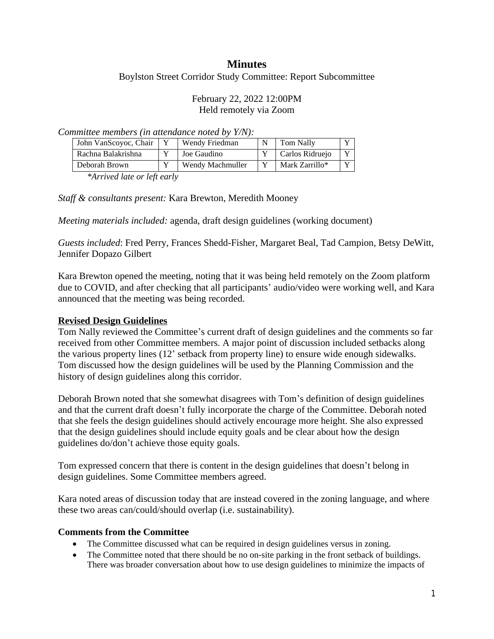# **Minutes**

Boylston Street Corridor Study Committee: Report Subcommittee

### February 22, 2022 12:00PM Held remotely via Zoom

*Committee members (in attendance noted by Y/N):*

| John VanScoyoc, Chair | Wendy Friedman   | Tom Nally       | $\mathbf{x}$ |
|-----------------------|------------------|-----------------|--------------|
| Rachna Balakrishna    | Joe Gaudino      | Carlos Ridruejo | $\mathbf{v}$ |
| Deborah Brown         | Wendy Machmuller | Mark Zarrillo*  | $\mathbf{v}$ |

*\*Arrived late or left early*

*Staff & consultants present:* Kara Brewton, Meredith Mooney

*Meeting materials included:* agenda, draft design guidelines (working document)

*Guests included*: Fred Perry, Frances Shedd-Fisher, Margaret Beal, Tad Campion, Betsy DeWitt, Jennifer Dopazo Gilbert

Kara Brewton opened the meeting, noting that it was being held remotely on the Zoom platform due to COVID, and after checking that all participants' audio/video were working well, and Kara announced that the meeting was being recorded.

### **Revised Design Guidelines**

Tom Nally reviewed the Committee's current draft of design guidelines and the comments so far received from other Committee members. A major point of discussion included setbacks along the various property lines (12' setback from property line) to ensure wide enough sidewalks. Tom discussed how the design guidelines will be used by the Planning Commission and the history of design guidelines along this corridor.

Deborah Brown noted that she somewhat disagrees with Tom's definition of design guidelines and that the current draft doesn't fully incorporate the charge of the Committee. Deborah noted that she feels the design guidelines should actively encourage more height. She also expressed that the design guidelines should include equity goals and be clear about how the design guidelines do/don't achieve those equity goals.

Tom expressed concern that there is content in the design guidelines that doesn't belong in design guidelines. Some Committee members agreed.

Kara noted areas of discussion today that are instead covered in the zoning language, and where these two areas can/could/should overlap (i.e. sustainability).

#### **Comments from the Committee**

- The Committee discussed what can be required in design guidelines versus in zoning.
- The Committee noted that there should be no on-site parking in the front setback of buildings. There was broader conversation about how to use design guidelines to minimize the impacts of